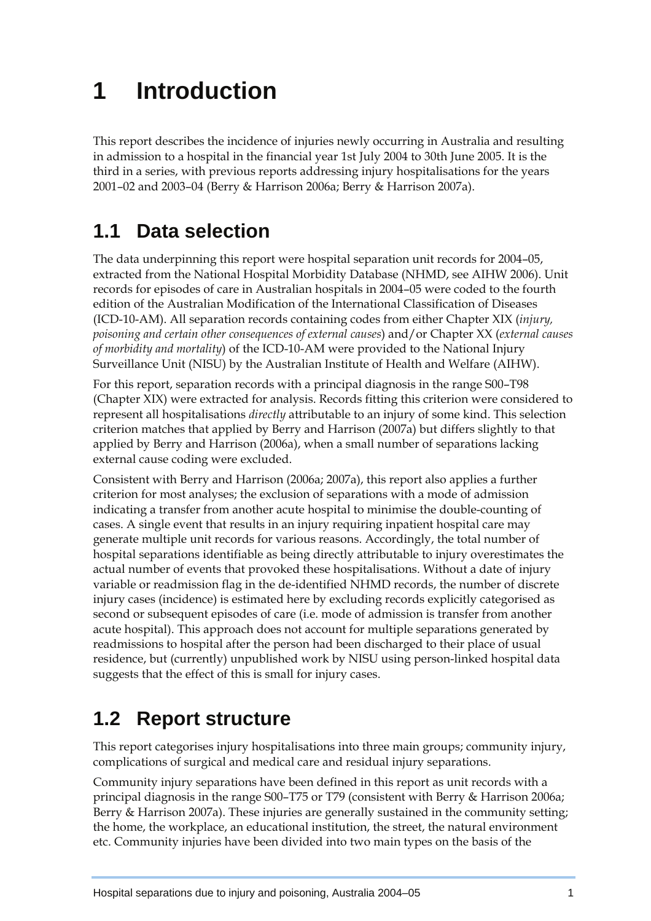# **1 Introduction**

This report describes the incidence of injuries newly occurring in Australia and resulting in admission to a hospital in the financial year 1st July 2004 to 30th June 2005. It is the third in a series, with previous reports addressing injury hospitalisations for the years 2001–02 and 2003–04 (Berry & Harrison 2006a; Berry & Harrison 2007a).

## **1.1 Data selection**

The data underpinning this report were hospital separation unit records for 2004–05, extracted from the National Hospital Morbidity Database (NHMD, see AIHW 2006). Unit records for episodes of care in Australian hospitals in 2004–05 were coded to the fourth edition of the Australian Modification of the International Classification of Diseases (ICD-10-AM). All separation records containing codes from either Chapter XIX (*injury, poisoning and certain other consequences of external causes*) and/or Chapter XX (*external causes of morbidity and mortality*) of the ICD-10-AM were provided to the National Injury Surveillance Unit (NISU) by the Australian Institute of Health and Welfare (AIHW).

For this report, separation records with a principal diagnosis in the range S00–T98 (Chapter XIX) were extracted for analysis. Records fitting this criterion were considered to represent all hospitalisations *directly* attributable to an injury of some kind. This selection criterion matches that applied by Berry and Harrison (2007a) but differs slightly to that applied by Berry and Harrison (2006a), when a small number of separations lacking external cause coding were excluded.

Consistent with Berry and Harrison (2006a; 2007a), this report also applies a further criterion for most analyses; the exclusion of separations with a mode of admission indicating a transfer from another acute hospital to minimise the double-counting of cases. A single event that results in an injury requiring inpatient hospital care may generate multiple unit records for various reasons. Accordingly, the total number of hospital separations identifiable as being directly attributable to injury overestimates the actual number of events that provoked these hospitalisations. Without a date of injury variable or readmission flag in the de-identified NHMD records, the number of discrete injury cases (incidence) is estimated here by excluding records explicitly categorised as second or subsequent episodes of care (i.e. mode of admission is transfer from another acute hospital). This approach does not account for multiple separations generated by readmissions to hospital after the person had been discharged to their place of usual residence, but (currently) unpublished work by NISU using person-linked hospital data suggests that the effect of this is small for injury cases.

### **1.2 Report structure**

This report categorises injury hospitalisations into three main groups; community injury, complications of surgical and medical care and residual injury separations.

Community injury separations have been defined in this report as unit records with a principal diagnosis in the range S00–T75 or T79 (consistent with Berry & Harrison 2006a; Berry & Harrison 2007a). These injuries are generally sustained in the community setting; the home, the workplace, an educational institution, the street, the natural environment etc. Community injuries have been divided into two main types on the basis of the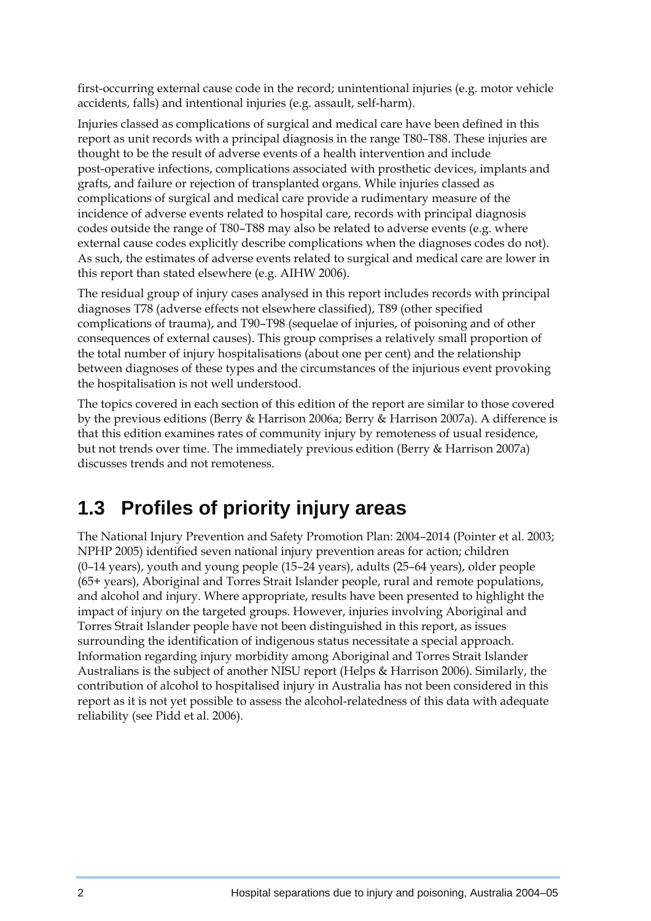first-occurring external cause code in the record; unintentional injuries (e.g. motor vehicle accidents, falls) and intentional injuries (e.g. assault, self-harm).

Injuries classed as complications of surgical and medical care have been defined in this report as unit records with a principal diagnosis in the range T80–T88. These injuries are thought to be the result of adverse events of a health intervention and include post-operative infections, complications associated with prosthetic devices, implants and grafts, and failure or rejection of transplanted organs. While injuries classed as complications of surgical and medical care provide a rudimentary measure of the incidence of adverse events related to hospital care, records with principal diagnosis codes outside the range of T80–T88 may also be related to adverse events (e.g. where external cause codes explicitly describe complications when the diagnoses codes do not). As such, the estimates of adverse events related to surgical and medical care are lower in this report than stated elsewhere (e.g. AIHW 2006).

The residual group of injury cases analysed in this report includes records with principal diagnoses T78 (adverse effects not elsewhere classified), T89 (other specified complications of trauma), and T90–T98 (sequelae of injuries, of poisoning and of other consequences of external causes). This group comprises a relatively small proportion of the total number of injury hospitalisations (about one per cent) and the relationship between diagnoses of these types and the circumstances of the injurious event provoking the hospitalisation is not well understood.

The topics covered in each section of this edition of the report are similar to those covered by the previous editions (Berry & Harrison 2006a; Berry & Harrison 2007a). A difference is that this edition examines rates of community injury by remoteness of usual residence, but not trends over time. The immediately previous edition (Berry & Harrison 2007a) discusses trends and not remoteness.

#### **1.3 Profiles of priority injury areas**

The National Injury Prevention and Safety Promotion Plan: 2004–2014 (Pointer et al. 2003; NPHP 2005) identified seven national injury prevention areas for action; children (0–14 years), youth and young people (15–24 years), adults (25–64 years), older people (65+ years), Aboriginal and Torres Strait Islander people, rural and remote populations, and alcohol and injury. Where appropriate, results have been presented to highlight the impact of injury on the targeted groups. However, injuries involving Aboriginal and Torres Strait Islander people have not been distinguished in this report, as issues surrounding the identification of indigenous status necessitate a special approach. Information regarding injury morbidity among Aboriginal and Torres Strait Islander Australians is the subject of another NISU report (Helps & Harrison 2006). Similarly, the contribution of alcohol to hospitalised injury in Australia has not been considered in this report as it is not yet possible to assess the alcohol-relatedness of this data with adequate reliability (see Pidd et al. 2006).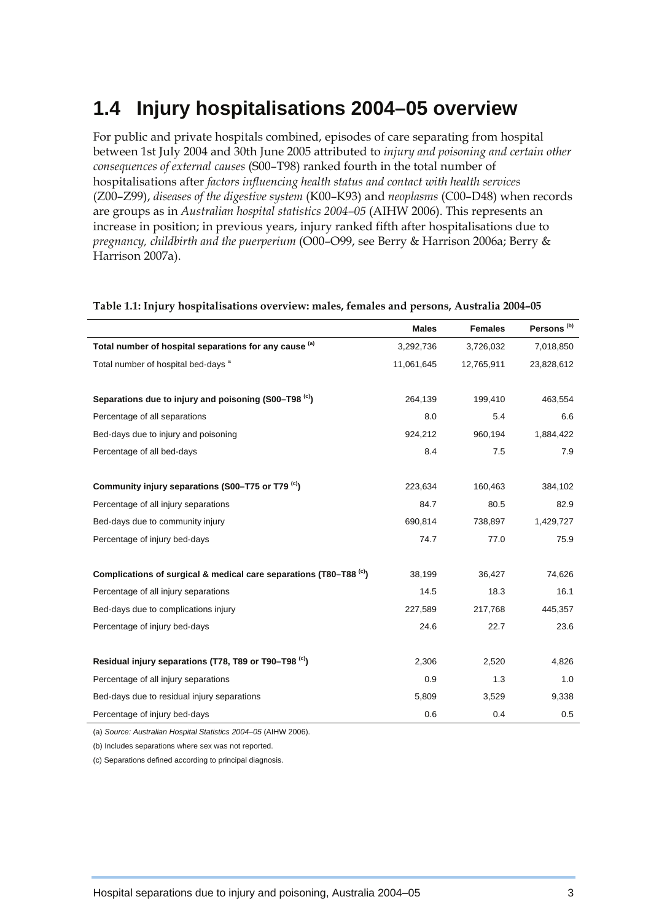#### **1.4 Injury hospitalisations 2004–05 overview**

For public and private hospitals combined, episodes of care separating from hospital between 1st July 2004 and 30th June 2005 attributed to *injury and poisoning and certain other consequences of external causes* (S00–T98) ranked fourth in the total number of hospitalisations after *factors influencing health status and contact with health services*  (Z00–Z99), *diseases of the digestive system* (K00–K93) and *neoplasms* (C00–D48) when records are groups as in *Australian hospital statistics 2004–05* (AIHW 2006). This represents an increase in position; in previous years, injury ranked fifth after hospitalisations due to *pregnancy, childbirth and the puerperium* (O00–O99, see Berry & Harrison 2006a; Berry & Harrison 2007a).

|                                                                                | <b>Males</b> | <b>Females</b> | Persons <sup>(b)</sup> |
|--------------------------------------------------------------------------------|--------------|----------------|------------------------|
| Total number of hospital separations for any cause (a)                         | 3,292,736    | 3,726,032      | 7,018,850              |
| Total number of hospital bed-days <sup>a</sup>                                 | 11,061,645   | 12,765,911     | 23,828,612             |
|                                                                                |              |                |                        |
| Separations due to injury and poisoning (S00-T98 <sup>(c)</sup> )              | 264,139      | 199,410        | 463,554                |
| Percentage of all separations                                                  | 8.0          | 5.4            | 6.6                    |
| Bed-days due to injury and poisoning                                           | 924,212      | 960,194        | 1,884,422              |
| Percentage of all bed-days                                                     | 8.4          | 7.5            | 7.9                    |
|                                                                                |              |                |                        |
| Community injury separations (S00-T75 or T79 <sup>(c)</sup> )                  | 223,634      | 160,463        | 384,102                |
| Percentage of all injury separations                                           | 84.7         | 80.5           | 82.9                   |
| Bed-days due to community injury                                               | 690,814      | 738,897        | 1,429,727              |
| Percentage of injury bed-days                                                  | 74.7         | 77.0           | 75.9                   |
|                                                                                |              |                |                        |
| Complications of surgical & medical care separations (T80-T88 <sup>(c)</sup> ) | 38,199       | 36,427         | 74,626                 |
| Percentage of all injury separations                                           | 14.5         | 18.3           | 16.1                   |
| Bed-days due to complications injury                                           | 227,589      | 217,768        | 445,357                |
| Percentage of injury bed-days                                                  | 24.6         | 22.7           | 23.6                   |
|                                                                                |              |                |                        |
| Residual injury separations (T78, T89 or T90–T98 <sup>(c)</sup> )              | 2,306        | 2,520          | 4,826                  |
| Percentage of all injury separations                                           | 0.9          | 1.3            | 1.0                    |
| Bed-days due to residual injury separations                                    | 5,809        | 3,529          | 9,338                  |
| Percentage of injury bed-days                                                  | 0.6          | 0.4            | 0.5                    |

#### **Table 1.1: Injury hospitalisations overview: males, females and persons, Australia 2004–05**

(a) *Source: Australian Hospital Statistics 2004–05* (AIHW 2006).

(b) Includes separations where sex was not reported.

(c) Separations defined according to principal diagnosis.